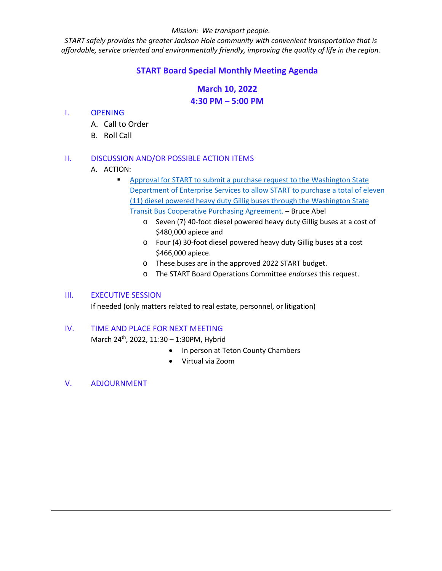#### *Mission: We transport people.*

*START safely provides the greater Jackson Hole community with convenient transportation that is affordable, service oriented and environmentally friendly, improving the quality of life in the region.*

# **START Board Special Monthly Meeting Agenda**

# **March 10, 2022 4:30 PM – 5:00 PM**

## I. OPENING

- A. Call to Order
- B. Roll Call

## II. DISCUSSION AND/OR POSSIBLE ACTION ITEMS

- A. ACTION:
	- Approval for [START to submit a purchase request to the Washington State](https://www.jacksonwy.gov/DocumentCenter/View/5713/20220310StaffReport_AuthorizeBusBuy)  [Department of Enterprise Services to allow START to purchase](https://www.jacksonwy.gov/DocumentCenter/View/5713/20220310StaffReport_AuthorizeBusBuy) a total of eleven (11) [diesel powered heavy duty Gillig buses through the Washington State](https://www.jacksonwy.gov/DocumentCenter/View/5713/20220310StaffReport_AuthorizeBusBuy)  [Transit Bus Cooperative Purchasing](https://www.jacksonwy.gov/DocumentCenter/View/5713/20220310StaffReport_AuthorizeBusBuy) Agreement. – Bruce Abel
		- o Seven (7) 40-foot diesel powered heavy duty Gillig buses at a cost of \$480,000 apiece and
		- o Four (4) 30-foot diesel powered heavy duty Gillig buses at a cost \$466,000 apiece.
		- o These buses are in the approved 2022 START budget.
		- o The START Board Operations Committee *endorses* this request.

# III. EXECUTIVE SESSION

If needed (only matters related to real estate, personnel, or litigation)

### IV. TIME AND PLACE FOR NEXT MEETING

March 24th, 2022, 11:30 – 1:30PM, Hybrid

- In person at Teton County Chambers
- Virtual via Zoom
- V. ADJOURNMENT